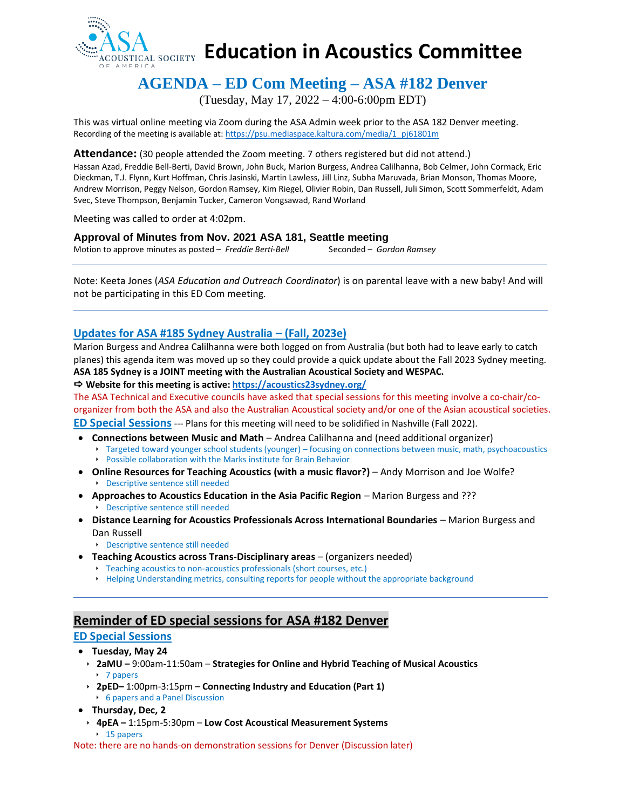

# **Education in Acoustics Committee**

# **AGENDA – ED Com Meeting – ASA #182 Denver**

(Tuesday, May 17, 2022 – 4:00-6:00pm EDT)

This was virtual online meeting via Zoom during the ASA Admin week prior to the ASA 182 Denver meeting. Recording of the meeting is available at[: https://psu.mediaspace.kaltura.com/media/1\\_pj61801m](https://psu.mediaspace.kaltura.com/media/1_pj61801m)

**Attendance:** (30 people attended the Zoom meeting. 7 others registered but did not attend.)

Hassan Azad, Freddie Bell-Berti, David Brown, John Buck, Marion Burgess, Andrea Calilhanna, Bob Celmer, John Cormack, Eric Dieckman, T.J. Flynn, Kurt Hoffman, Chris Jasinski, Martin Lawless, Jill Linz, Subha Maruvada, Brian Monson, Thomas Moore, Andrew Morrison, Peggy Nelson, Gordon Ramsey, Kim Riegel, Olivier Robin, Dan Russell, Juli Simon, Scott Sommerfeldt, Adam Svec, Steve Thompson, Benjamin Tucker, Cameron Vongsawad, Rand Worland

Meeting was called to order at 4:02pm.

### **Approval of Minutes from Nov. 2021 ASA 181, Seattle meeting**

Motion to approve minutes as posted – *Freddie Berti-Bell* Seconded – *Gordon Ramsey* 

Note: Keeta Jones (*ASA Education and Outreach Coordinator*) is on parental leave with a new baby! And will not be participating in this ED Com meeting.

# **Updates for ASA #185 Sydney Australia – (Fall, 2023e)**

Marion Burgess and Andrea Calilhanna were both logged on from Australia (but both had to leave early to catch planes) this agenda item was moved up so they could provide a quick update about the Fall 2023 Sydney meeting. **ASA 185 Sydney is a JOINT meeting with the Australian Acoustical Society and WESPAC.**

**Website for this meeting is active[: https://acoustics23sydney.org/](https://acoustics23sydney.org/)**

The ASA Technical and Executive councils have asked that special sessions for this meeting involve a co-chair/coorganizer from both the ASA and also the Australian Acoustical society and/or one of the Asian acoustical societies.

**ED Special Sessions**--- Plans for this meeting will need to be solidified in Nashville (Fall 2022).

- **Connections between Music and Math**  Andrea Calilhanna and (need additional organizer)
	- Targeted toward younger school students (younger) focusing on connections between music, math, psychoacoustics Possible collaboration with the Marks institute for Brain Behavior
- **Online Resources for Teaching Acoustics (with a music flavor?)** Andy Morrison and Joe Wolfe? Descriptive sentence still needed
- **Approaches to Acoustics Education in the Asia Pacific Region Marion Burgess and ??? Descriptive sentence still needed**
- **Distance Learning for Acoustics Professionals Across International Boundaries**  Marion Burgess and Dan Russell
	- Descriptive sentence still needed
- **Teaching Acoustics across Trans-Disciplinary areas**  (organizers needed)
	- Teaching acoustics to non-acoustics professionals (short courses, etc.)
	- Helping Understanding metrics, consulting reports for people without the appropriate background

# **Reminder of ED special sessions for ASA #182 Denver**

## **ED Special Sessions**

- **Tuesday, May 24**
	- **2aMU –** 9:00am-11:50am **Strategies for Online and Hybrid Teaching of Musical Acoustics** ▶ 7 papers
	- **2pED–** 1:00pm-3:15pm **Connecting Industry and Education (Part 1)** 6 papers and a Panel Discussion
- **Thursday, Dec, 2**
	- **4pEA –** 1:15pm-5:30pm **Low Cost Acoustical Measurement Systems**  $\cdot$  15 papers

Note: there are no hands-on demonstration sessions for Denver (Discussion later)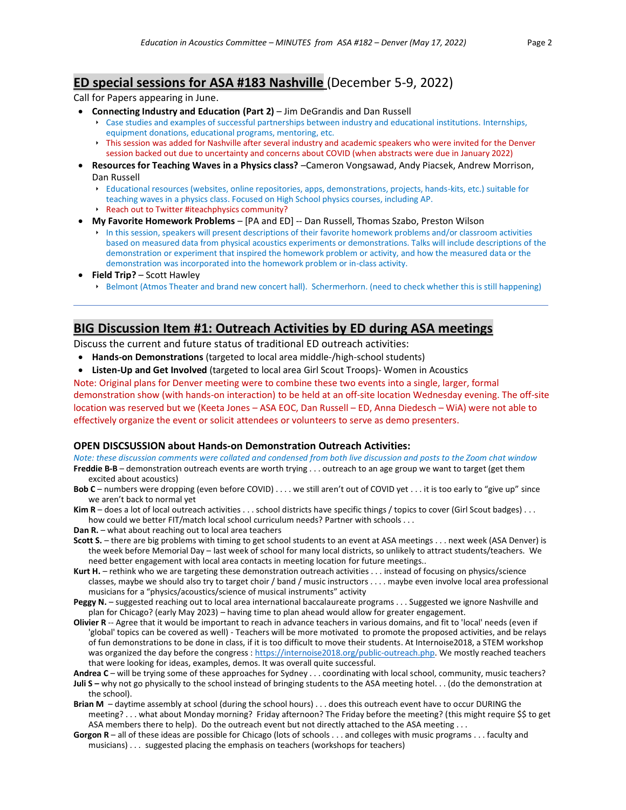# **ED special sessions for ASA #183 Nashville** (December 5-9, 2022)

Call for Papers appearing in June.

- **Connecting Industry and Education (Part 2)** Jim DeGrandis and Dan Russell
	- Case studies and examples of successful partnerships between industry and educational institutions. Internships, equipment donations, educational programs, mentoring, etc.
	- This session was added for Nashville after several industry and academic speakers who were invited for the Denver session backed out due to uncertainty and concerns about COVID (when abstracts were due in January 2022)
- **Resources for Teaching Waves in a Physics class?** –Cameron Vongsawad, Andy Piacsek, Andrew Morrison, Dan Russell
	- Educational resources (websites, online repositories, apps, demonstrations, projects, hands-kits, etc.) suitable for teaching waves in a physics class. Focused on High School physics courses, including AP.
	- Reach out to Twitter #iteachphysics community?
- **My Favorite Homework Problems** [PA and ED] -- Dan Russell, Thomas Szabo, Preston Wilson
	- In this session, speakers will present descriptions of their favorite homework problems and/or classroom activities based on measured data from physical acoustics experiments or demonstrations. Talks will include descriptions of the demonstration or experiment that inspired the homework problem or activity, and how the measured data or the demonstration was incorporated into the homework problem or in-class activity.
- **Field Trip?**  Scott Hawley
	- Belmont (Atmos Theater and brand new concert hall). Schermerhorn. (need to check whether this is still happening)

# **BIG Discussion Item #1: Outreach Activities by ED during ASA meetings**

Discuss the current and future status of traditional ED outreach activities:

- **Hands-on Demonstrations** (targeted to local area middle-/high-school students)
- **Listen-Up and Get Involved** (targeted to local area Girl Scout Troops)- Women in Acoustics

Note: Original plans for Denver meeting were to combine these two events into a single, larger, formal demonstration show (with hands-on interaction) to be held at an off-site location Wednesday evening. The off-site location was reserved but we (Keeta Jones – ASA EOC, Dan Russell – ED, Anna Diedesch – WiA) were not able to effectively organize the event or solicit attendees or volunteers to serve as demo presenters.

### **OPEN DISCSUSSION about Hands-on Demonstration Outreach Activities:**

*Note: these discussion comments were collated and condensed from both live discussion and posts to the Zoom chat window* **Freddie B-B** – demonstration outreach events are worth trying . . . outreach to an age group we want to target (get them excited about acoustics)

- **Bob C** numbers were dropping (even before COVID) . . . . we still aren't out of COVID yet . . . it is too early to "give up" since we aren't back to normal yet
- **Kim R** does a lot of local outreach activities . . . school districts have specific things / topics to cover (Girl Scout badges) . . . how could we better FIT/match local school curriculum needs? Partner with schools . . .
- **Dan R.** what about reaching out to local area teachers
- **Scott S.** there are big problems with timing to get school students to an event at ASA meetings . . . next week (ASA Denver) is the week before Memorial Day – last week of school for many local districts, so unlikely to attract students/teachers. We need better engagement with local area contacts in meeting location for future meetings..
- **Kurt H.** rethink who we are targeting these demonstration outreach activities . . . instead of focusing on physics/science classes, maybe we should also try to target choir / band / music instructors . . . . maybe even involve local area professional musicians for a "physics/acoustics/science of musical instruments" activity
- **Peggy N.** suggested reaching out to local area international baccalaureate programs . . . Suggested we ignore Nashville and plan for Chicago? (early May 2023) – having time to plan ahead would allow for greater engagement.
- **Olivier R** -- Agree that it would be important to reach in advance teachers in various domains, and fit to 'local' needs (even if 'global' topics can be covered as well) - Teachers will be more motivated to promote the proposed activities, and be relays of fun demonstrations to be done in class, if it is too difficult to move their students. At Internoise2018, a STEM workshop was organized the day before the congress [: https://internoise2018.org/public-outreach.php.](https://internoise2018.org/public-outreach.php) We mostly reached teachers that were looking for ideas, examples, demos. It was overall quite successful.
- **Andrea C** will be trying some of these approaches for Sydney . . . coordinating with local school, community, music teachers? **Juli S –** why not go physically to the school instead of bringing students to the ASA meeting hotel. . . (do the demonstration at
- the school). **Brian M** – daytime assembly at school (during the school hours) . . . does this outreach event have to occur DURING the meeting? . . . what about Monday morning? Friday afternoon? The Friday before the meeting? (this might require \$\$ to get ASA members there to help). Do the outreach event but not directly attached to the ASA meeting . . .
- **Gorgon R** all of these ideas are possible for Chicago (lots of schools . . . and colleges with music programs . . . faculty and musicians) . . . suggested placing the emphasis on teachers (workshops for teachers)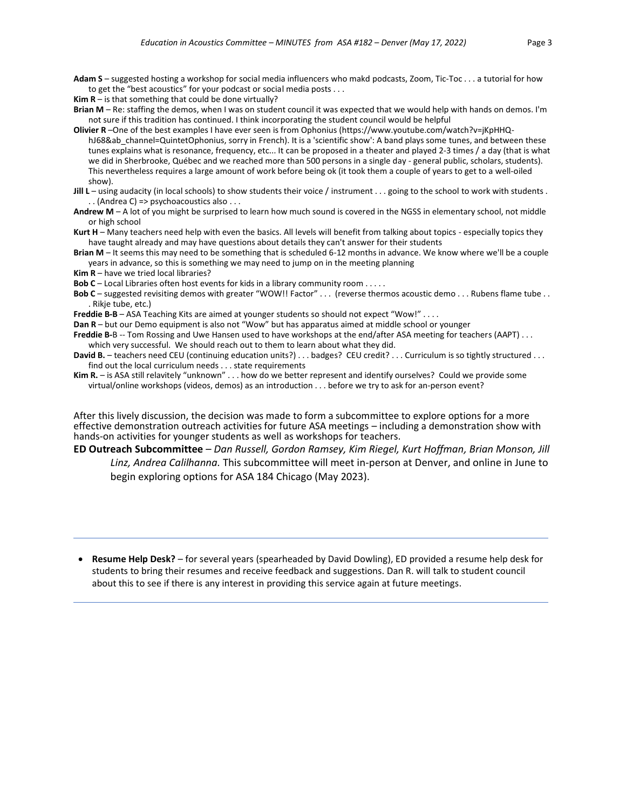- **Adam S** suggested hosting a workshop for social media influencers who makd podcasts, Zoom, Tic-Toc . . . a tutorial for how to get the "best acoustics" for your podcast or social media posts . . .
- **Kim**  $R$  is that something that could be done virtually?
- **Brian M**  Re: staffing the demos, when I was on student council it was expected that we would help with hands on demos. I'm not sure if this tradition has continued. I think incorporating the student council would be helpful
- **Olivier R** –One of the best examples I have ever seen is from Ophonius (https://www.youtube.com/watch?v=jKpHHQhJ68&ab channel=QuintetOphonius, sorry in French). It is a 'scientific show': A band plays some tunes, and between these tunes explains what is resonance, frequency, etc... It can be proposed in a theater and played 2-3 times / a day (that is what we did in Sherbrooke, Québec and we reached more than 500 persons in a single day - general public, scholars, students). This nevertheless requires a large amount of work before being ok (it took them a couple of years to get to a well-oiled show).
- **Jill L** using audacity (in local schools) to show students their voice / instrument . . . going to the school to work with students . . . (Andrea C) => psychoacoustics also . . .
- **Andrew M** A lot of you might be surprised to learn how much sound is covered in the NGSS in elementary school, not middle or high school
- **Kurt H** Many teachers need help with even the basics. All levels will benefit from talking about topics especially topics they have taught already and may have questions about details they can't answer for their students
- **Brian M** It seems this may need to be something that is scheduled 6-12 months in advance. We know where we'll be a couple years in advance, so this is something we may need to jump on in the meeting planning
- **Kim R** have we tried local libraries?
- **Bob C** Local Libraries often host events for kids in a library community room . . . . .
- Bob C suggested revisiting demos with greater "WOW!! Factor" . . . (reverse thermos acoustic demo . . . Rubens flame tube . . . Rikje tube, etc.)
- **Freddie B-B** ASA Teaching Kits are aimed at younger students so should not expect "Wow!" . . . .
- **Dan R** but our Demo equipment is also not "Wow" but has apparatus aimed at middle school or younger
- **Freddie B-**B -- Tom Rossing and Uwe Hansen used to have workshops at the end/after ASA meeting for teachers (AAPT) . . . which very successful. We should reach out to them to learn about what they did.
- David B. teachers need CEU (continuing education units?) . . . badges? CEU credit? . . . Curriculum is so tightly structured . . . find out the local curriculum needs . . . state requirements
- **Kim R.** is ASA still relavitely "unknown" . . . how do we better represent and identify ourselves? Could we provide some virtual/online workshops (videos, demos) as an introduction . . . before we try to ask for an-person event?

After this lively discussion, the decision was made to form a subcommittee to explore options for a more effective demonstration outreach activities for future ASA meetings – including a demonstration show with hands-on activities for younger students as well as workshops for teachers.

**ED Outreach Subcommittee** – *Dan Russell, Gordon Ramsey, Kim Riegel, Kurt Hoffman, Brian Monson, Jill* 

*Linz, Andrea Calilhanna.* This subcommittee will meet in-person at Denver, and online in June to begin exploring options for ASA 184 Chicago (May 2023).

• **Resume Help Desk?** – for several years (spearheaded by David Dowling), ED provided a resume help desk for students to bring their resumes and receive feedback and suggestions. Dan R. will talk to student council about this to see if there is any interest in providing this service again at future meetings.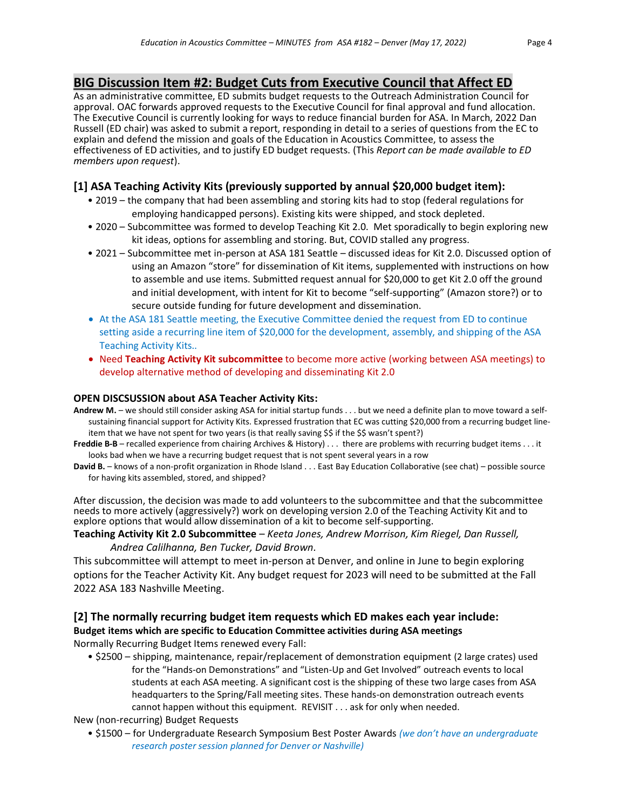# **BIG Discussion Item #2: Budget Cuts from Executive Council that Affect ED**

As an administrative committee, ED submits budget requests to the Outreach Administration Council for approval. OAC forwards approved requests to the Executive Council for final approval and fund allocation. The Executive Council is currently looking for ways to reduce financial burden for ASA. In March, 2022 Dan Russell (ED chair) was asked to submit a report, responding in detail to a series of questions from the EC to explain and defend the mission and goals of the Education in Acoustics Committee, to assess the effectiveness of ED activities, and to justify ED budget requests. (This *Report can be made available to ED members upon request*).

## **[1] ASA Teaching Activity Kits (previously supported by annual \$20,000 budget item):**

- 2019 the company that had been assembling and storing kits had to stop (federal regulations for employing handicapped persons). Existing kits were shipped, and stock depleted.
- 2020 Subcommittee was formed to develop Teaching Kit 2.0. Met sporadically to begin exploring new kit ideas, options for assembling and storing. But, COVID stalled any progress.
- 2021 Subcommittee met in-person at ASA 181 Seattle discussed ideas for Kit 2.0. Discussed option of using an Amazon "store" for dissemination of Kit items, supplemented with instructions on how to assemble and use items. Submitted request annual for \$20,000 to get Kit 2.0 off the ground and initial development, with intent for Kit to become "self-supporting" (Amazon store?) or to secure outside funding for future development and dissemination.
- At the ASA 181 Seattle meeting, the Executive Committee denied the request from ED to continue setting aside a recurring line item of \$20,000 for the development, assembly, and shipping of the ASA Teaching Activity Kits..
- Need **Teaching Activity Kit subcommittee** to become more active (working between ASA meetings) to develop alternative method of developing and disseminating Kit 2.0

### **OPEN DISCSUSSION about ASA Teacher Activity Kits:**

- **Andrew M.** we should still consider asking ASA for initial startup funds . . . but we need a definite plan to move toward a selfsustaining financial support for Activity Kits. Expressed frustration that EC was cutting \$20,000 from a recurring budget lineitem that we have not spent for two years (is that really saving \$\$ if the \$\$ wasn't spent?)
- **Freddie B-B** recalled experience from chairing Archives & History) . . . there are problems with recurring budget items . . . it looks bad when we have a recurring budget request that is not spent several years in a row
- **David B.** knows of a non-profit organization in Rhode Island . . . East Bay Education Collaborative (see chat) possible source for having kits assembled, stored, and shipped?

After discussion, the decision was made to add volunteers to the subcommittee and that the subcommittee needs to more actively (aggressively?) work on developing version 2.0 of the Teaching Activity Kit and to explore options that would allow dissemination of a kit to become self-supporting.

### **Teaching Activity Kit 2.0 Subcommittee** – *Keeta Jones, Andrew Morrison, Kim Riegel, Dan Russell, Andrea Calilhanna, Ben Tucker, David Brown.*

This subcommittee will attempt to meet in-person at Denver, and online in June to begin exploring options for the Teacher Activity Kit. Any budget request for 2023 will need to be submitted at the Fall 2022 ASA 183 Nashville Meeting.

# **[2] The normally recurring budget item requests which ED makes each year include: Budget items which are specific to Education Committee activities during ASA meetings**

Normally Recurring Budget Items renewed every Fall:

• \$2500 – shipping, maintenance, repair/replacement of demonstration equipment (2 large crates) used for the "Hands-on Demonstrations" and "Listen-Up and Get Involved" outreach events to local students at each ASA meeting. A significant cost is the shipping of these two large cases from ASA headquarters to the Spring/Fall meeting sites. These hands-on demonstration outreach events cannot happen without this equipment. REVISIT . . . ask for only when needed.

New (non-recurring) Budget Requests

• \$1500 – for Undergraduate Research Symposium Best Poster Awards *(we don't have an undergraduate research poster session planned for Denver or Nashville)*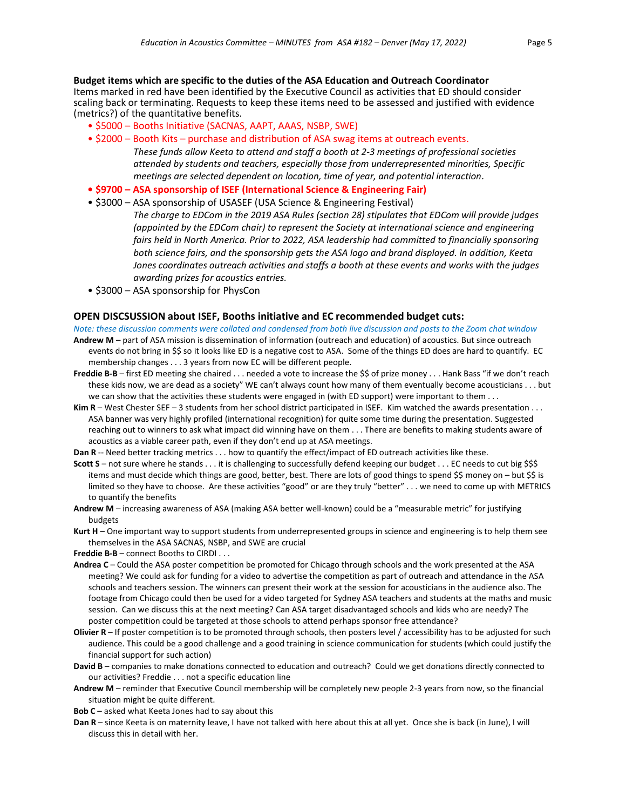**Budget items which are specific to the duties of the ASA Education and Outreach Coordinator** Items marked in red have been identified by the Executive Council as activities that ED should consider scaling back or terminating. Requests to keep these items need to be assessed and justified with evidence (metrics?) of the quantitative benefits.

- \$5000 Booths Initiative (SACNAS, AAPT, AAAS, NSBP, SWE)
- \$2000 Booth Kits purchase and distribution of ASA swag items at outreach events. *These funds allow Keeta to attend and staff a booth at 2-3 meetings of professional societies attended by students and teachers, especially those from underrepresented minorities, Specific meetings are selected dependent on location, time of year, and potential interaction.*
- **\$9700 – ASA sponsorship of ISEF (International Science & Engineering Fair)**
- \$3000 ASA sponsorship of USASEF (USA Science & Engineering Festival)

*The charge to EDCom in the 2019 ASA Rules (section 28) stipulates that EDCom will provide judges (appointed by the EDCom chair) to represent the Society at international science and engineering fairs held in North America. Prior to 2022, ASA leadership had committed to financially sponsoring both science fairs, and the sponsorship gets the ASA logo and brand displayed. In addition, Keeta Jones coordinates outreach activities and staffs a booth at these events and works with the judges awarding prizes for acoustics entries.*

• \$3000 – ASA sponsorship for PhysCon

#### **OPEN DISCSUSSION about ISEF, Booths initiative and EC recommended budget cuts:**

*Note: these discussion comments were collated and condensed from both live discussion and posts to the Zoom chat window*

- **Andrew M** part of ASA mission is dissemination of information (outreach and education) of acoustics. But since outreach events do not bring in \$\$ so it looks like ED is a negative cost to ASA. Some of the things ED does are hard to quantify. EC membership changes . . . 3 years from now EC will be different people.
- **Freddie B-B** first ED meeting she chaired . . . needed a vote to increase the \$\$ of prize money . . . Hank Bass "if we don't reach these kids now, we are dead as a society" WE can't always count how many of them eventually become acousticians . . . but we can show that the activities these students were engaged in (with ED support) were important to them . . .
- **Kim R** West Chester SEF 3 students from her school district participated in ISEF. Kim watched the awards presentation . . . ASA banner was very highly profiled (international recognition) for quite some time during the presentation. Suggested reaching out to winners to ask what impact did winning have on them . . . There are benefits to making students aware of acoustics as a viable career path, even if they don't end up at ASA meetings.
- **Dan R** -- Need better tracking metrics . . . how to quantify the effect/impact of ED outreach activities like these.
- **Scott S** not sure where he stands . . . it is challenging to successfully defend keeping our budget . . . EC needs to cut big \$\$\$ items and must decide which things are good, better, best. There are lots of good things to spend \$\$ money on – but \$\$ is limited so they have to choose. Are these activities "good" or are they truly "better" . . . we need to come up with METRICS to quantify the benefits
- **Andrew M**  increasing awareness of ASA (making ASA better well-known) could be a "measurable metric" for justifying budgets

**Kurt H** – One important way to support students from underrepresented groups in science and engineering is to help them see themselves in the ASA SACNAS, NSBP, and SWE are crucial

**Freddie B-B** – connect Booths to CIRDI . . .

- **Andrea C** Could the ASA poster competition be promoted for Chicago through schools and the work presented at the ASA meeting? We could ask for funding for a video to advertise the competition as part of outreach and attendance in the ASA schools and teachers session. The winners can present their work at the session for acousticians in the audience also. The footage from Chicago could then be used for a video targeted for Sydney ASA teachers and students at the maths and music session. Can we discuss this at the next meeting? Can ASA target disadvantaged schools and kids who are needy? The poster competition could be targeted at those schools to attend perhaps sponsor free attendance?
- **Olivier R**  If poster competition is to be promoted through schools, then posters level / accessibility has to be adjusted for such audience. This could be a good challenge and a good training in science communication for students (which could justify the financial support for such action)
- **David B** companies to make donations connected to education and outreach? Could we get donations directly connected to our activities? Freddie . . . not a specific education line
- **Andrew M**  reminder that Executive Council membership will be completely new people 2-3 years from now, so the financial situation might be quite different.
- **Bob C** asked what Keeta Jones had to say about this
- **Dan R** since Keeta is on maternity leave, I have not talked with here about this at all yet. Once she is back (in June), I will discuss this in detail with her.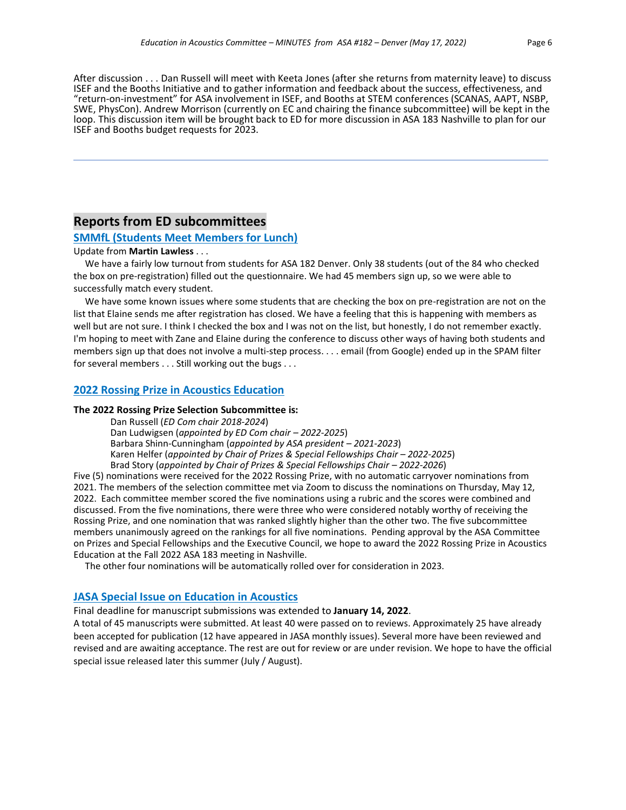After discussion . . . Dan Russell will meet with Keeta Jones (after she returns from maternity leave) to discuss ISEF and the Booths Initiative and to gather information and feedback about the success, effectiveness, and "return-on-investment" for ASA involvement in ISEF, and Booths at STEM conferences (SCANAS, AAPT, NSBP, SWE, PhysCon). Andrew Morrison (currently on EC and chairing the finance subcommittee) will be kept in the loop. This discussion item will be brought back to ED for more discussion in ASA 183 Nashville to plan for our ISEF and Booths budget requests for 2023.

# **Reports from ED subcommittees**

#### **SMMfL (Students Meet Members for Lunch)**

#### Update from **Martin Lawless** . . .

 We have a fairly low turnout from students for ASA 182 Denver. Only 38 students (out of the 84 who checked the box on pre-registration) filled out the questionnaire. We had 45 members sign up, so we were able to successfully match every student.

 We have some known issues where some students that are checking the box on pre-registration are not on the list that Elaine sends me after registration has closed. We have a feeling that this is happening with members as well but are not sure. I think I checked the box and I was not on the list, but honestly, I do not remember exactly. I'm hoping to meet with Zane and Elaine during the conference to discuss other ways of having both students and members sign up that does not involve a multi-step process. . . . email (from Google) ended up in the SPAM filter for several members . . . Still working out the bugs . . .

### **2022 Rossing Prize in Acoustics Education**

#### **The 2022 Rossing Prize Selection Subcommittee is:**

Dan Russell (*ED Com chair 2018-2024*) Dan Ludwigsen (*appointed by ED Com chair – 2022-2025*) Barbara Shinn-Cunningham (*appointed by ASA president – 2021-2023*) Karen Helfer (appointed by Chair of Prizes & Special Fellowships Chair - 2022-2025) Brad Story (appointed by Chair of Prizes & Special Fellowships Chair - 2022-2026)

Five (5) nominations were received for the 2022 Rossing Prize, with no automatic carryover nominations from 2021. The members of the selection committee met via Zoom to discuss the nominations on Thursday, May 12, 2022. Each committee member scored the five nominations using a rubric and the scores were combined and discussed. From the five nominations, there were three who were considered notably worthy of receiving the Rossing Prize, and one nomination that was ranked slightly higher than the other two. The five subcommittee members unanimously agreed on the rankings for all five nominations. Pending approval by the ASA Committee on Prizes and Special Fellowships and the Executive Council, we hope to award the 2022 Rossing Prize in Acoustics Education at the Fall 2022 ASA 183 meeting in Nashville.

The other four nominations will be automatically rolled over for consideration in 2023.

### **JASA Special Issue on Education in Acoustics**

Final deadline for manuscript submissions was extended to **January 14, 2022**.

A total of 45 manuscripts were submitted. At least 40 were passed on to reviews. Approximately 25 have already been accepted for publication (12 have appeared in JASA monthly issues). Several more have been reviewed and revised and are awaiting acceptance. The rest are out for review or are under revision. We hope to have the official special issue released later this summer (July / August).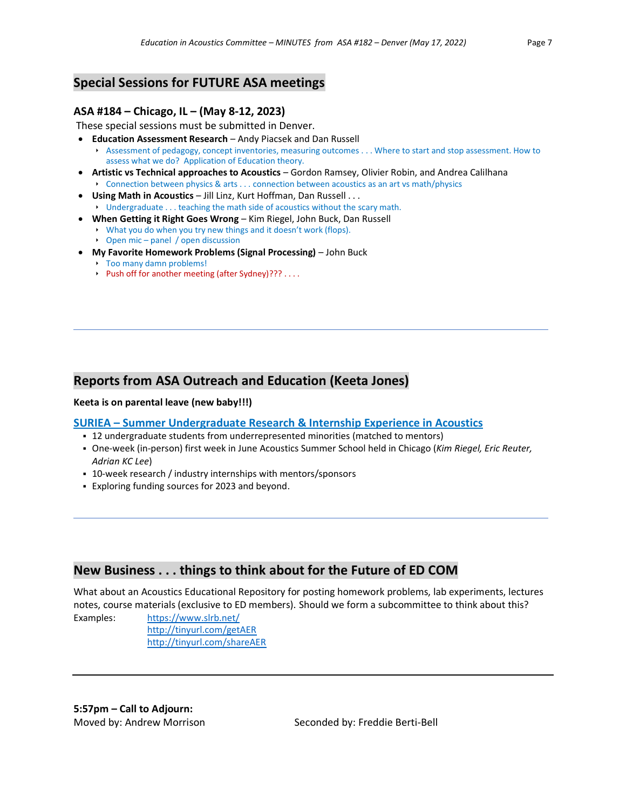# **Special Sessions for FUTURE ASA meetings**

### **ASA #184 – Chicago, IL – (May 8-12, 2023)**

These special sessions must be submitted in Denver.

- **Education Assessment Research**  Andy Piacsek and Dan Russell
	- Assessment of pedagogy, concept inventories, measuring outcomes . . . Where to start and stop assessment. How to assess what we do? Application of Education theory.
- **Artistic vs Technical approaches to Acoustics**  Gordon Ramsey, Olivier Robin, and Andrea Calilhana Connection between physics & arts . . . connection between acoustics as an art vs math/physics
- **Using Math in Acoustics**  Jill Linz, Kurt Hoffman, Dan Russell . . .
	- Undergraduate . . . teaching the math side of acoustics without the scary math.
- **When Getting it Right Goes Wrong**  Kim Riegel, John Buck, Dan Russell
	- What you do when you try new things and it doesn't work (flops). ▶ Open mic – panel / open discussion
- **My Favorite Homework Problems (Signal Processing)**  John Buck
	- $\triangleright$  Too many damn problems!
	- Push off for another meeting (after Sydney)??? . . . .

# **Reports from ASA Outreach and Education (Keeta Jones)**

#### **Keeta is on parental leave (new baby!!!)**

### **SURIEA – Summer Undergraduate Research & Internship Experience in Acoustics**

- 12 undergraduate students from underrepresented minorities (matched to mentors)
- One-week (in-person) first week in June Acoustics Summer School held in Chicago (*Kim Riegel, Eric Reuter, Adrian KC Lee*)
- 10-week research / industry internships with mentors/sponsors
- **Exploring funding sources for 2023 and beyond.**

# **New Business . . . things to think about for the Future of ED COM**

What about an Acoustics Educational Repository for posting homework problems, lab experiments, lectures notes, course materials (exclusive to ED members). Should we form a subcommittee to think about this?

Examples: <https://www.slrb.net/> <http://tinyurl.com/getAER> <http://tinyurl.com/shareAER>

**5:57pm – Call to Adjourn:**

Moved by: Andrew Morrison Seconded by: Freddie Berti-Bell